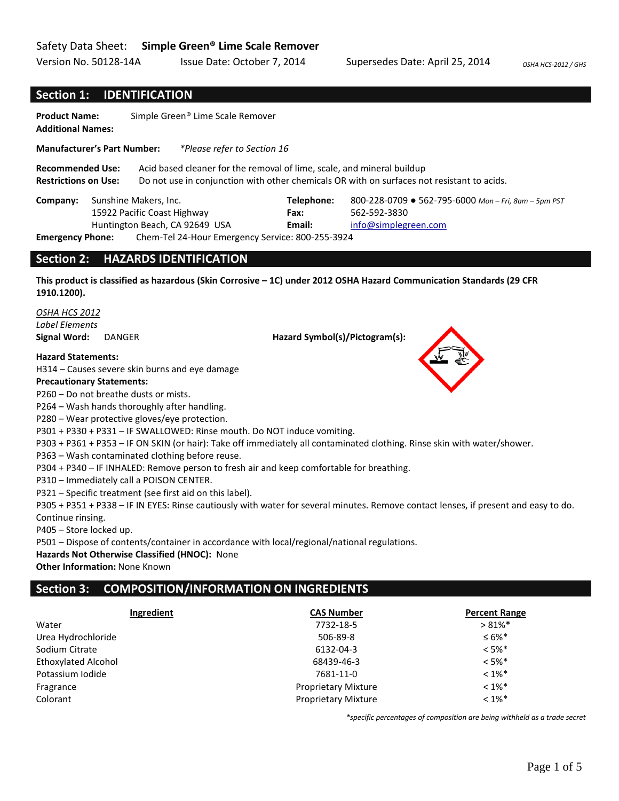#### Safety Data Sheet: **Simple Green® Lime Scale Remover**

Version No. 50128-14A Issue Date: October 7, 2014 Supersedes Date: April 25, 2014 *OSHA HCS-2012 / GHS* 

#### **Section 1: IDENTIFICATION**

**Product Name:** Simple Green® Lime Scale Remover **Additional Names:** 

**Manufacturer's Part Number:** *\*Please refer to Section 16*

**Recommended Use:** Acid based cleaner for the removal of lime, scale, and mineral buildup **Restrictions on Use:** Do not use in conjunction with other chemicals OR with on surfaces not resistant to acids.

|                    | <b>Company:</b> Sunshine Makers, Inc.           | Telephone: | 800-228-0709 ● 562-795-6000 Mon - Fri, 8am - 5pm PST |
|--------------------|-------------------------------------------------|------------|------------------------------------------------------|
|                    | 15922 Pacific Coast Highway                     | Fax:       | 562-592-3830                                         |
|                    | Huntington Beach, CA 92649 USA                  | Email:     | info@simplegreen.com                                 |
| Fesovaniani Bloman | Cham Tal 34 Hour Emergency Camisor 800 3FF 3034 |            |                                                      |

**Emergency Phone:** Chem-Tel 24-Hour Emergency Service: 800-255-3924

#### **Section 2: HAZARDS IDENTIFICATION**

**This product is classified as hazardous (Skin Corrosive – 1C) under 2012 OSHA Hazard Communication Standards (29 CFR 1910.1200).**

*OSHA HCS 2012 Label Elements*

**Signal Word:** DANGER **Hazard Symbol(s)/Pictogram(s):** 

**Hazard Statements:**

H314 – Causes severe skin burns and eye damage

#### **Precautionary Statements:**

P260 – Do not breathe dusts or mists.

P264 – Wash hands thoroughly after handling.

P280 – Wear protective gloves/eye protection.

P301 + P330 + P331 – IF SWALLOWED: Rinse mouth. Do NOT induce vomiting.

P303 + P361 + P353 – IF ON SKIN (or hair): Take off immediately all contaminated clothing. Rinse skin with water/shower.

P363 – Wash contaminated clothing before reuse.

P304 + P340 – IF INHALED: Remove person to fresh air and keep comfortable for breathing.

P310 – Immediately call a POISON CENTER.

P321 – Specific treatment (see first aid on this label).

P305 + P351 + P338 – IF IN EYES: Rinse cautiously with water for several minutes. Remove contact lenses, if present and easy to do. Continue rinsing.

P405 – Store locked up.

P501 – Dispose of contents/container in accordance with local/regional/national regulations.

#### **Hazards Not Otherwise Classified (HNOC):** None

**Other Information:** None Known

## **Section 3: COMPOSITION/INFORMATION ON INGREDIENTS**

| Ingredient                 | <b>CAS Number</b>          | <b>Percent Range</b> |
|----------------------------|----------------------------|----------------------|
| Water                      | 7732-18-5                  | $>81\%$ *            |
| Urea Hydrochloride         | 506-89-8                   | $\leq 6\%$ *         |
| Sodium Citrate             | 6132-04-3                  | $< 5\%$ *            |
| <b>Ethoxylated Alcohol</b> | 68439-46-3                 | $< 5\%$ *            |
| Potassium Iodide           | 7681-11-0                  | $< 1\%$ *            |
| Fragrance                  | <b>Proprietary Mixture</b> | $< 1\%$ <sup>*</sup> |
| Colorant                   | <b>Proprietary Mixture</b> | $< 1\%$ *            |

*\*specific percentages of composition are being withheld as a trade secret*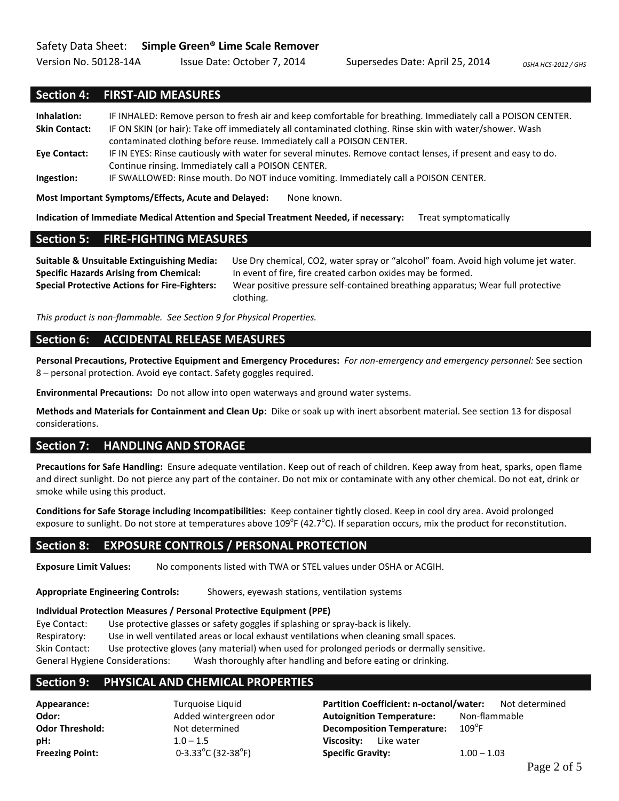Version No. 50128-14A Issue Date: October 7, 2014 Supersedes Date: April 25, 2014 *OSHA HCS-2012 / GHS* 

#### **Section 4: FIRST-AID MEASURES**

**Inhalation:** IF INHALED: Remove person to fresh air and keep comfortable for breathing. Immediately call a POISON CENTER. **Skin Contact:** IF ON SKIN (or hair): Take off immediately all contaminated clothing. Rinse skin with water/shower. Wash contaminated clothing before reuse. Immediately call a POISON CENTER. **Eye Contact:** IF IN EYES: Rinse cautiously with water for several minutes. Remove contact lenses, if present and easy to do. Continue rinsing. Immediately call a POISON CENTER.

**Ingestion:** IF SWALLOWED: Rinse mouth. Do NOT induce vomiting. Immediately call a POISON CENTER.

**Most Important Symptoms/Effects, Acute and Delayed:** None known.

**Indication of Immediate Medical Attention and Special Treatment Needed, if necessary:** Treat symptomatically

#### **Section 5: FIRE-FIGHTING MEASURES**

**Suitable & Unsuitable Extinguishing Media:** Use Dry chemical, CO2, water spray or "alcohol" foam. Avoid high volume jet water. **Specific Hazards Arising from Chemical:** In event of fire, fire created carbon oxides may be formed. **Special Protective Actions for Fire-Fighters:** Wear positive pressure self-contained breathing apparatus; Wear full protective clothing.

*This product is non-flammable. See Section 9 for Physical Properties.*

#### **Section 6: ACCIDENTAL RELEASE MEASURES**

**Personal Precautions, Protective Equipment and Emergency Procedures:** *For non-emergency and emergency personnel:* See section 8 – personal protection. Avoid eye contact. Safety goggles required.

**Environmental Precautions:** Do not allow into open waterways and ground water systems.

**Methods and Materials for Containment and Clean Up:** Dike or soak up with inert absorbent material. See section 13 for disposal considerations.

#### **Section 7: HANDLING AND STORAGE**

**Precautions for Safe Handling:** Ensure adequate ventilation. Keep out of reach of children. Keep away from heat, sparks, open flame and direct sunlight. Do not pierce any part of the container. Do not mix or contaminate with any other chemical. Do not eat, drink or smoke while using this product.

**Conditions for Safe Storage including Incompatibilities:** Keep container tightly closed. Keep in cool dry area. Avoid prolonged exposure to sunlight. Do not store at temperatures above 109<sup>°</sup>F (42.7<sup>°</sup>C). If separation occurs, mix the product for reconstitution.

#### **Section 8: EXPOSURE CONTROLS / PERSONAL PROTECTION**

**Exposure Limit Values:** No components listed with TWA or STEL values under OSHA or ACGIH.

**Appropriate Engineering Controls:** Showers, eyewash stations, ventilation systems

#### **Individual Protection Measures / Personal Protective Equipment (PPE)**

Eye Contact: Use protective glasses or safety goggles if splashing or spray-back is likely. Respiratory: Use in well ventilated areas or local exhaust ventilations when cleaning small spaces. Skin Contact: Use protective gloves (any material) when used for prolonged periods or dermally sensitive. General Hygiene Considerations: Wash thoroughly after handling and before eating or drinking.

#### **Section 9: PHYSICAL AND CHEMICAL PROPERTIES**

**Freezing Point:** 

**pH:** 1.0 – 1.5 **Viscosity:** Like water  $0 - 3.33^{\circ}$ C (32-38 $^{\circ}$ F)

**Appearance:** Turquoise Liquid **Partition Coefficient: n-octanol/water:** Not determined **Odor:** Added wintergreen odor **Autoignition Temperature:** Non-flammable **Odor Threshold:** Not determined **Decomposition Temperature:**  $109^{\circ}$ F F) **Specific Gravity:** 1.00 – 1.03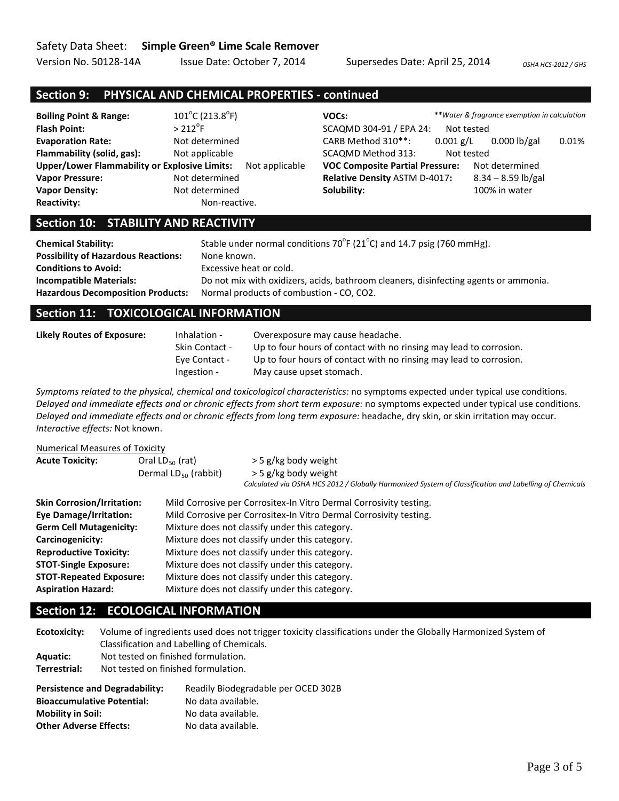Version No. 50128-14A Issue Date: October 7, 2014 Supersedes Date: April 25, 2014 *OSHA HCS-2012 / GHS* 

## **Section 9: PHYSICAL AND CHEMICAL PROPERTIES - continued**

| <b>Boiling Point &amp; Range:</b>                    | $101^{\circ}$ C (213.8 $^{\circ}$ F) | VOCs:                                  |             | **Water & fragrance exemption in calculation |       |
|------------------------------------------------------|--------------------------------------|----------------------------------------|-------------|----------------------------------------------|-------|
| <b>Flash Point:</b>                                  | $>212^{\circ}$ F                     | SCAQMD 304-91 / EPA 24:                | Not tested  |                                              |       |
| <b>Evaporation Rate:</b>                             | Not determined                       | CARB Method 310**:                     | $0.001$ g/L | $0.000$ lb/gal                               | 0.01% |
| Flammability (solid, gas):                           | Not applicable                       | SCAQMD Method 313:                     | Not tested  |                                              |       |
| <b>Upper/Lower Flammability or Explosive Limits:</b> | Not applicable                       | <b>VOC Composite Partial Pressure:</b> |             | Not determined                               |       |
| <b>Vapor Pressure:</b>                               | Not determined                       | <b>Relative Density ASTM D-4017:</b>   |             | $8.34 - 8.59$ lb/gal                         |       |
| <b>Vapor Density:</b>                                | Not determined                       | Solubility:                            |             | 100% in water                                |       |
| <b>Reactivity:</b>                                   | Non-reactive.                        |                                        |             |                                              |       |

## **Section 10: STABILITY AND REACTIVITY**

| <b>Chemical Stability:</b><br><b>Possibility of Hazardous Reactions:</b> | Stable under normal conditions $70^{\circ}F(21^{\circ}C)$ and 14.7 psig (760 mmHg).<br>None known. |
|--------------------------------------------------------------------------|----------------------------------------------------------------------------------------------------|
| <b>Conditions to Avoid:</b>                                              | Excessive heat or cold.                                                                            |
| <b>Incompatible Materials:</b>                                           | Do not mix with oxidizers, acids, bathroom cleaners, disinfecting agents or ammonia.               |
| <b>Hazardous Decomposition Products:</b>                                 | Normal products of combustion - CO, CO2.                                                           |

### **Section 11: TOXICOLOGICAL INFORMATION**

| Likely Routes of Exposure: | Inhalation -          | Overexposure may cause headache.                                   |
|----------------------------|-----------------------|--------------------------------------------------------------------|
|                            | <b>Skin Contact -</b> | Up to four hours of contact with no rinsing may lead to corrosion. |
|                            | Eve Contact -         | Up to four hours of contact with no rinsing may lead to corrosion. |
|                            | Ingestion -           | May cause upset stomach.                                           |

*Symptoms related to the physical, chemical and toxicological characteristics:* no symptoms expected under typical use conditions. *Delayed and immediate effects and or chronic effects from short term exposure:* no symptoms expected under typical use conditions. *Delayed and immediate effects and or chronic effects from long term exposure:* headache, dry skin, or skin irritation may occur. *Interactive effects:* Not known.

| <b>Numerical Measures of Toxicity</b>                                                               |                                                |                                                                                                                                                        |  |  |
|-----------------------------------------------------------------------------------------------------|------------------------------------------------|--------------------------------------------------------------------------------------------------------------------------------------------------------|--|--|
| <b>Acute Toxicity:</b><br>Oral LD $_{50}$ (rat)<br>Dermal $LD_{50}$ (rabbit)                        |                                                | > 5 g/kg body weight<br>> 5 g/kg body weight<br>Calculated via OSHA HCS 2012 / Globally Harmonized System of Classification and Labelling of Chemicals |  |  |
| <b>Skin Corrosion/Irritation:</b>                                                                   |                                                | Mild Corrosive per Corrositex-In Vitro Dermal Corrosivity testing.                                                                                     |  |  |
| <b>Eye Damage/Irritation:</b><br>Mild Corrosive per Corrositex-In Vitro Dermal Corrosivity testing. |                                                |                                                                                                                                                        |  |  |
| <b>Germ Cell Mutagenicity:</b>                                                                      |                                                | Mixture does not classify under this category.                                                                                                         |  |  |
| Carcinogenicity:                                                                                    | Mixture does not classify under this category. |                                                                                                                                                        |  |  |
| <b>Reproductive Toxicity:</b>                                                                       |                                                | Mixture does not classify under this category.                                                                                                         |  |  |
| <b>STOT-Single Exposure:</b>                                                                        |                                                | Mixture does not classify under this category.                                                                                                         |  |  |
| <b>STOT-Repeated Exposure:</b>                                                                      |                                                | Mixture does not classify under this category.                                                                                                         |  |  |
| <b>Aspiration Hazard:</b>                                                                           |                                                | Mixture does not classify under this category.                                                                                                         |  |  |

## **Section 12: ECOLOGICAL INFORMATION**

| Ecotoxicity:    | Volume of ingredients used does not trigger toxicity classifications under the Globally Harmonized System of |
|-----------------|--------------------------------------------------------------------------------------------------------------|
|                 | Classification and Labelling of Chemicals.                                                                   |
| <b>Aquatic:</b> | Not tested on finished formulation.                                                                          |
| Terrestrial:    | Not tested on finished formulation.                                                                          |
|                 |                                                                                                              |

| <b>Persistence and Degradability:</b> | Readily Biodegradable per OCED 302B |
|---------------------------------------|-------------------------------------|
| <b>Bioaccumulative Potential:</b>     | No data available.                  |
| <b>Mobility in Soil:</b>              | No data available.                  |
| <b>Other Adverse Effects:</b>         | No data available.                  |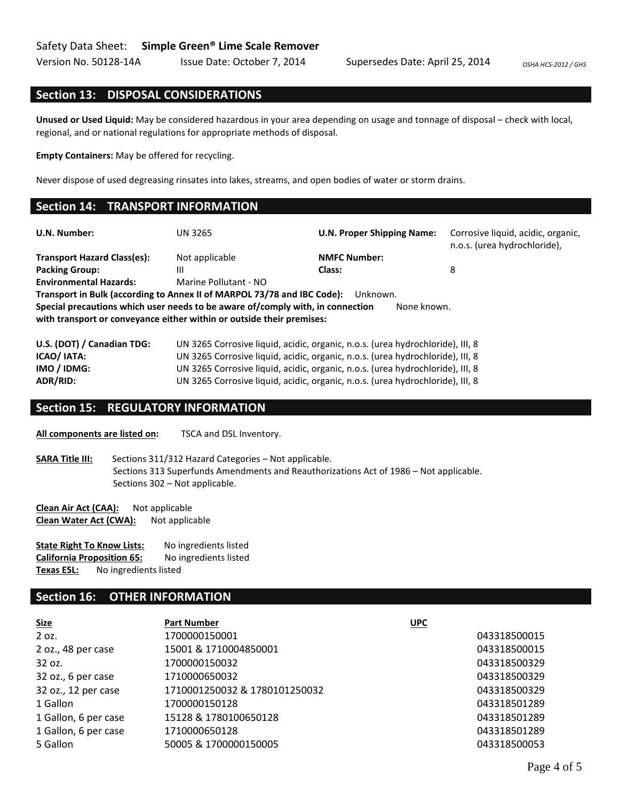Version No. 50128-14A Issue Date: October 7, 2014 Supersedes Date: April 25, 2014 0SHA HCS-2012 / GHS

#### **Section 13: DISPOSAL CONSIDERATIONS**

**Unused or Used Liquid:** May be considered hazardous in your area depending on usage and tonnage of disposal – check with local, regional, and or national regulations for appropriate methods of disposal.

**Empty Containers:** May be offered for recycling.

Never dispose of used degreasing rinsates into lakes, streams, and open bodies of water or storm drains.

#### **Section 14: TRANSPORT INFORMATION**

| U.N. Number:                                                                                                                                            | <b>UN 3265</b>                                                                      | <b>U.N. Proper Shipping Name:</b>                                              | Corrosive liquid, acidic, organic,<br>n.o.s. (urea hydrochloride), |  |  |  |  |  |
|---------------------------------------------------------------------------------------------------------------------------------------------------------|-------------------------------------------------------------------------------------|--------------------------------------------------------------------------------|--------------------------------------------------------------------|--|--|--|--|--|
| <b>Transport Hazard Class(es):</b>                                                                                                                      | Not applicable                                                                      | <b>NMFC Number:</b>                                                            |                                                                    |  |  |  |  |  |
| <b>Packing Group:</b>                                                                                                                                   | Ш                                                                                   | Class:                                                                         | 8                                                                  |  |  |  |  |  |
| <b>Environmental Hazards:</b>                                                                                                                           | Marine Pollutant - NO                                                               |                                                                                |                                                                    |  |  |  |  |  |
|                                                                                                                                                         | Transport in Bulk (according to Annex II of MARPOL 73/78 and IBC Code):<br>Unknown. |                                                                                |                                                                    |  |  |  |  |  |
| Special precautions which user needs to be aware of/comply with, in connection<br>with transport or conveyance either within or outside their premises: |                                                                                     | None known.                                                                    |                                                                    |  |  |  |  |  |
| U.S. (DOT) / Canadian TDG:                                                                                                                              |                                                                                     | UN 3265 Corrosive liquid, acidic, organic, n.o.s. (urea hydrochloride), III, 8 |                                                                    |  |  |  |  |  |
| ICAO/ IATA:                                                                                                                                             | UN 3265 Corrosive liquid, acidic, organic, n.o.s. (urea hydrochloride), III, 8      |                                                                                |                                                                    |  |  |  |  |  |
| IMO / IDMG:                                                                                                                                             | UN 3265 Corrosive liquid, acidic, organic, n.o.s. (urea hydrochloride), III, 8      |                                                                                |                                                                    |  |  |  |  |  |

# **Section 15: REGULATORY INFORMATION**

**All components are listed on:** TSCA and DSL Inventory.

**SARA Title III:** Sections 311/312 Hazard Categories – Not applicable. Sections 313 Superfunds Amendments and Reauthorizations Act of 1986 – Not applicable. Sections 302 – Not applicable.

**ADR/RID:** UN 3265 Corrosive liquid, acidic, organic, n.o.s. (urea hydrochloride), III, 8

**Clean Air Act (CAA):** Not applicable **Clean Water Act (CWA):** Not applicable

| <b>State Right To Know Lists:</b> |                                   | No ingredients listed |  |
|-----------------------------------|-----------------------------------|-----------------------|--|
|                                   | <b>California Proposition 65:</b> | No ingredients listed |  |
| Texas ESL:                        | No ingredients listed             |                       |  |

#### **Section 16: OTHER INFORMATION**

| <b>Size</b>          | <b>Part Number</b>            | <b>UPC</b>   |
|----------------------|-------------------------------|--------------|
| 2 oz.                | 1700000150001                 | 043318500015 |
| 2 oz., 48 per case   | 15001 & 1710004850001         | 043318500015 |
| 32 oz.               | 1700000150032                 | 043318500329 |
| 32 oz., 6 per case   | 1710000650032                 | 043318500329 |
| 32 oz., 12 per case  | 1710001250032 & 1780101250032 | 043318500329 |
| 1 Gallon             | 1700000150128                 | 043318501289 |
| 1 Gallon, 6 per case | 15128 & 1780100650128         | 043318501289 |
| 1 Gallon, 6 per case | 1710000650128                 | 043318501289 |
| 5 Gallon             | 50005 & 1700000150005         | 043318500053 |